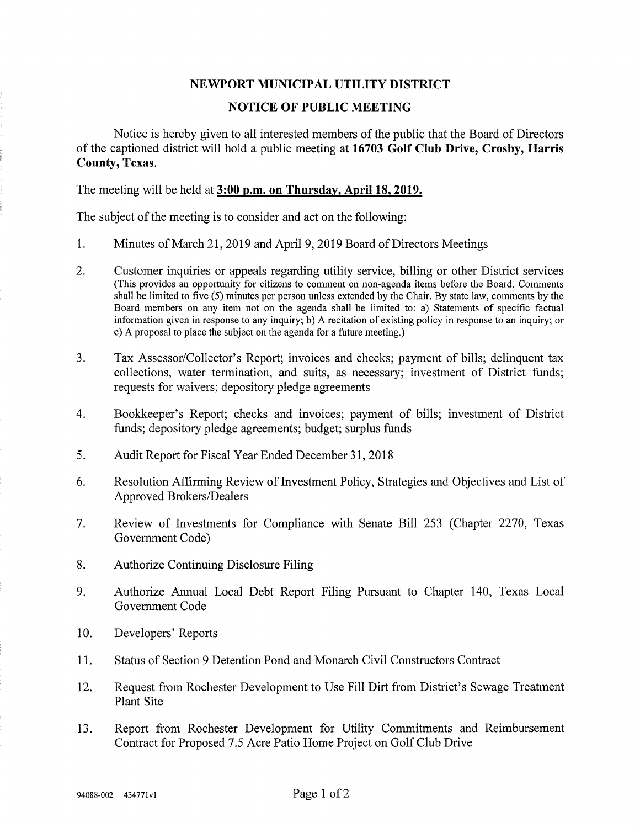## NEWPORT MUNICIPAL UTILITY DISTRICT

## NOTICE OF PUBLIC MEETING

Notice is hereby given to all interested members of the public that the Board of Directors of the captioned district will hold a public meeting at 16703 Golf Club Drive, Crosby, Harris County, Texas.

The meeting will be held at 3:00 p.m. on Thursday, April 18, 2019.

The subject of the meeting is to consider and act on the following:

- 1. Minutes of March 21, 2019 and April 9,2019 Board of Directors Meetings
- 2. Customer inquiries or appeals regarding utility service, billing or other District services (This provides an opportunity for citizens to comment on non-agenda items before the Board. Comments shall be limited to five (5) minutes per person unless extended by the Chair. By state law, comments by the Board members on any item not on the agenda shall be limited to: a) Statements of specific factual information given in response to any inquuy; b) A recitation of existing policy in response to an inquiry; or c) A proposal to place the subject on the agenda for a future meeting.)
- 3. Tax Assessor/Collector's Report; invoices and checks; payment of bills; delinquent tax collections, water termination, and suits, as necessary; investment of District funds; requests for waivers; depository pledge agreements
- 4. Bookkeeper's Report; checks and invoices; payment of bills; investment of District funds; depository pledge agreements; budget; surplus funds
- 5. Audit Report for Fiscal Year Ended December 31,2018
- 6. Resolution Affirming Review of Investment Policy, Strategies and Objectives and List of Approved Brokers/Dealers
- 7. Review of Investments for Compliance with Senate Bill 253 (Chapter 2270, Texas Government Code)
- 8. Authorize Continuing Disclosure Filing
- 9. Authorize Annual Local Debt Report Filing Pursuant to Chapter 140, Texas Local Government Code
- 10. Developers' Reports
- 11. Status of Section 9 Detention Pond and Monarch Civil Constructors Contract
- 12. Request from Rochester Development to Use Fill Dirt from District's Sewage Treatment Plant Site
- 13. Report from Rochester Development for Utility Commitments and Reimbursement Contract for Proposed 7.5 Acre Patio Home Project on Golf Club Drive